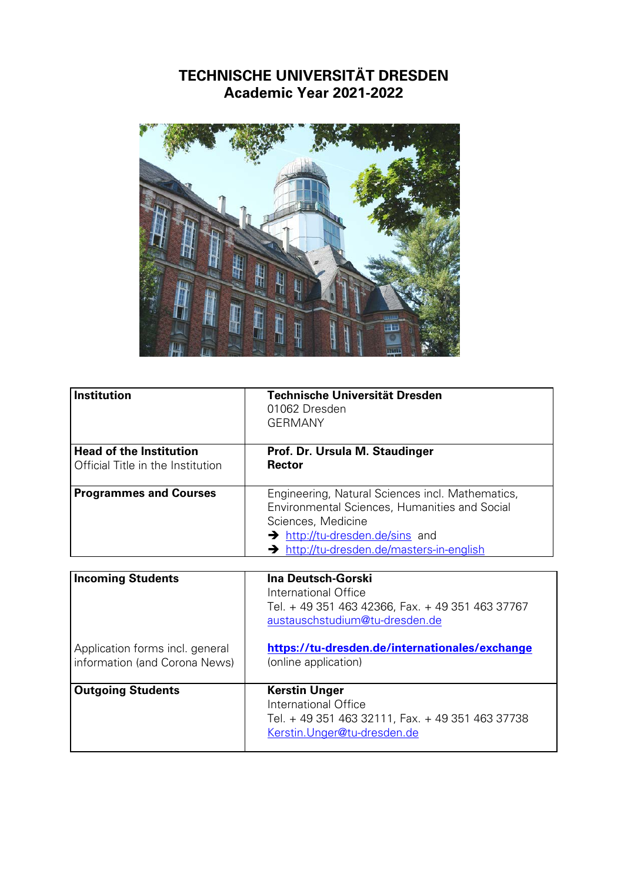## **TECHNISCHE UNIVERSITÄT DRESDEN Academic Year 2021-2022**



| <b>Institution</b>                                                  | <b>Technische Universität Dresden</b><br>01062 Dresden<br><b>GERMANY</b>                                                                                                                                            |
|---------------------------------------------------------------------|---------------------------------------------------------------------------------------------------------------------------------------------------------------------------------------------------------------------|
| <b>Head of the Institution</b><br>Official Title in the Institution | Prof. Dr. Ursula M. Staudinger<br><b>Rector</b>                                                                                                                                                                     |
| <b>Programmes and Courses</b>                                       | Engineering, Natural Sciences incl. Mathematics,<br>Environmental Sciences, Humanities and Social<br>Sciences, Medicine<br>$\rightarrow$ http://tu-dresden.de/sins and<br>> http://tu-dresden.de/masters-in-english |

| <b>Incoming Students</b>                                         | Ina Deutsch-Gorski<br>International Office<br>Tel. + 49 351 463 42366, Fax. + 49 351 463 37767<br>austauschstudium@tu-dresden.de |
|------------------------------------------------------------------|----------------------------------------------------------------------------------------------------------------------------------|
| Application forms incl. general<br>information (and Corona News) | https://tu-dresden.de/internationales/exchange<br>(online application)                                                           |
| <b>Outgoing Students</b>                                         | <b>Kerstin Unger</b><br>International Office<br>Tel. + 49 351 463 32111, Fax. + 49 351 463 37738<br>Kerstin. Unger@tu-dresden.de |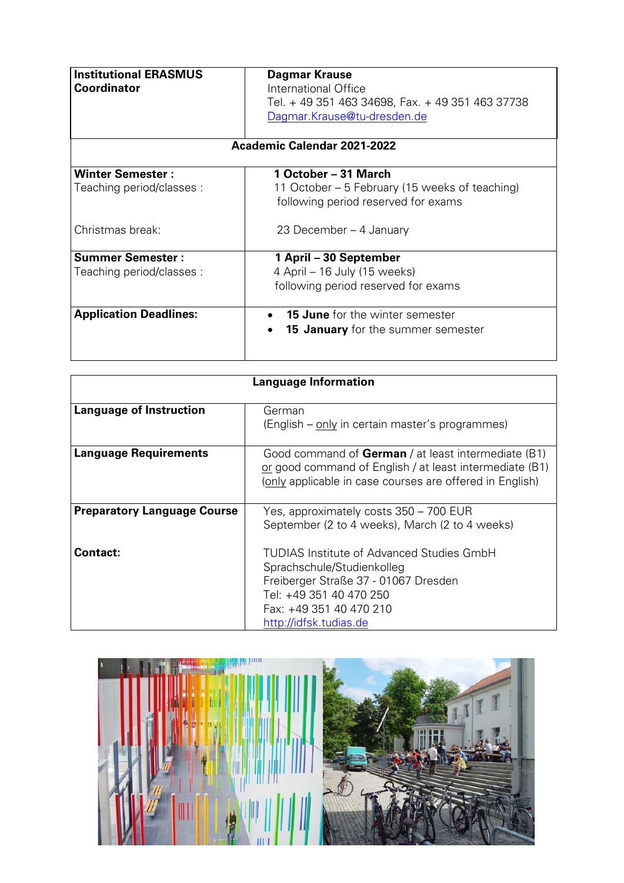| <b>Institutional ERASMUS</b><br><b>Coordinator</b>   | Dagmar Krause<br>International Office<br>Tel. + 49 351 463 34698, Fax. + 49 351 463 37738<br>Dagmar.Krause@tu-dresden.de<br>Academic Calendar 2021-2022 |
|------------------------------------------------------|---------------------------------------------------------------------------------------------------------------------------------------------------------|
| <b>Winter Semester:</b><br>Teaching period/classes : | 1 October – 31 March<br>11 October – 5 February (15 weeks of teaching)                                                                                  |
|                                                      | following period reserved for exams                                                                                                                     |
| Christmas break:                                     | 23 December – 4 January                                                                                                                                 |
| <b>Summer Semester:</b>                              | 1 April – 30 September                                                                                                                                  |
| Teaching period/classes :                            | 4 April – 16 July (15 weeks)                                                                                                                            |
|                                                      | following period reserved for exams                                                                                                                     |
| <b>Application Deadlines:</b>                        | <b>15 June</b> for the winter semester                                                                                                                  |
|                                                      | 15 January for the summer semester                                                                                                                      |

| <b>Language Information</b>        |                                                                                                                                                                                                 |
|------------------------------------|-------------------------------------------------------------------------------------------------------------------------------------------------------------------------------------------------|
| <b>Language of Instruction</b>     | German<br>(English – only in certain master's programmes)                                                                                                                                       |
| <b>Language Requirements</b>       | Good command of German / at least intermediate (B1)<br>or good command of English / at least intermediate (B1)<br>(only applicable in case courses are offered in English)                      |
| <b>Preparatory Language Course</b> | Yes, approximately costs 350 – 700 EUR<br>September (2 to 4 weeks), March (2 to 4 weeks)                                                                                                        |
| <b>Contact:</b>                    | TUDIAS Institute of Advanced Studies GmbH<br>Sprachschule/Studienkolleg<br>Freiberger Straße 37 - 01067 Dresden<br>Tel: +49 351 40 470 250<br>Fax: +49 351 40 470 210<br>http://idfsk.tudias.de |